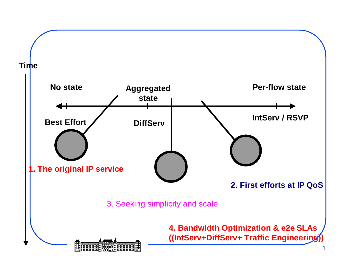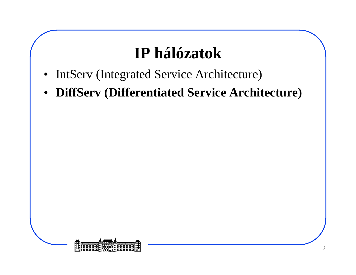#### **IP hálózatok**

- $\bullet$ IntServ (Integrated Service Architecture)
- $\bullet$ **DiffServ (Differentiated Service Architecture)**

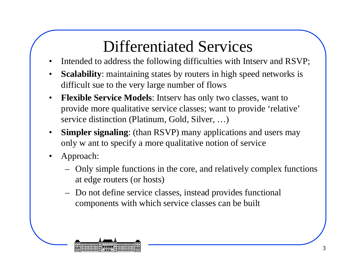#### Differentiated Services

- Intended to address the following difficulties with Intserv and RSVP;•
- • **Scalability**: maintaining states by routers in high speed networks is difficult sue to the very large number of flows
- • **Flexible Service Models**: Intserv has only two classes, want to provide more qualitative service classes; want to provide 'relative'service distinction (Platinum, Gold, Silver, …)
- • **Simpler signaling**: (than RSVP) many applications and users may only w ant to specify a more qualitative notion of service
- • Approach:
	- Only simple functions in the core, and relatively complex functions at edge routers (or hosts)
	- Do not define service classes, instead provides functional components with which service classes can be built

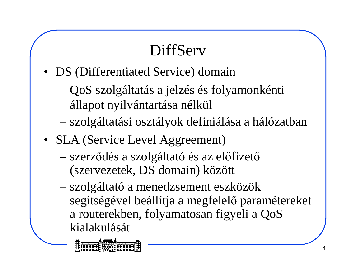## DiffServ

- DS (Differentiated Service) domain
	- QoS szolgáltatás a jelzés és folyamonkénti állapot nyilvántartása nélkül
	- szolgáltatási osztályok definiálása a hálózatban
- SLA (Service Level Aggreement)
	- szerződés a szolgáltató és az előfizető(szervezetek, DS domain) között
	- szolgáltató a menedzsement eszközök segítségével beállítja a megfelelő paramétereket a routerekben, folyamatosan figyeli a QoSkialakulását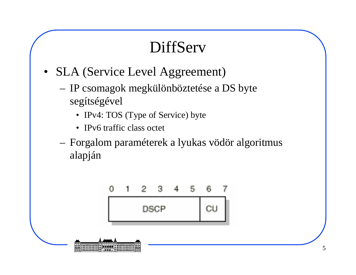#### **DiffServ**

- • SLA (Service Level Aggreement)
	- – IP csomagok megkülönböztetése a DS byte segítségével
		- IPv4: TOS (Type of Service) byte
		- IPv6 traffic class octet
	- – Forgalom paraméterek a lyukas vödör algoritmus alapján

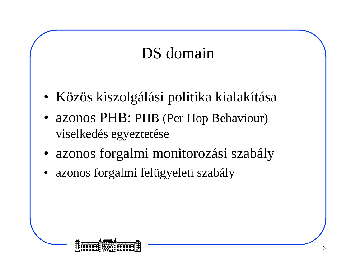#### DS domain

- Közös kiszolgálási politika kialakítása
- azonos PHB: PHB (Per Hop Behaviour) viselkedés egyeztetése
- •azonos forgalmi monitorozási szabály
- •azonos forgalmi felügyeleti szabály

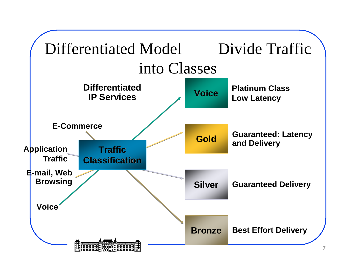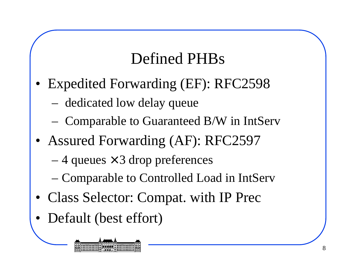#### Defined PHBs

- • Expedited Forwarding (EF): RFC2598
	- dedicated low delay queue
	- Comparable to Guaranteed B/W in IntServ
- Assured Forwarding (AF): RFC2597
	- 4 queues  $\times$  3 drop preferences
	- Comparable to Controlled Load in IntServ
- •Class Selector: Compat. with IP Prec
- •Default (best effort)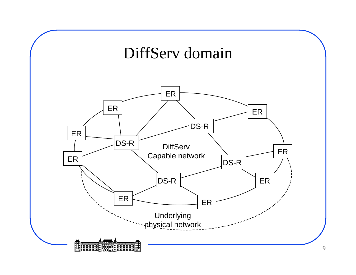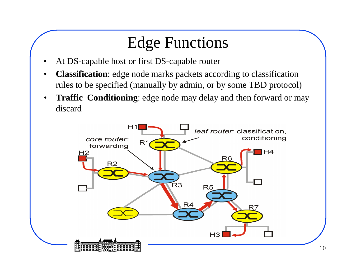#### Edge Functions

- •At DS-capable host or first DS-capable router
- • **Classification**: edge node marks packets according to classification rules to be specified (manually by admin, or by some TBD protocol)
- $\bullet$  **Traffic Conditioning**: edge node may delay and then forward or may discard

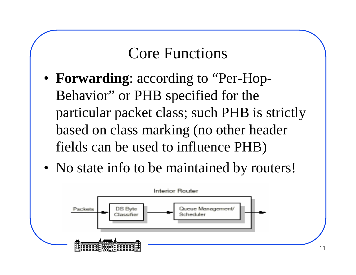#### Core Functions

- **Forwarding**: according to "Per-Hop-Behavior" or PHB specified for the particular packet class; such PHB is strictly based on class marking (no other header fields can be used to influence PHB)
- No state info to be maintained by routers!

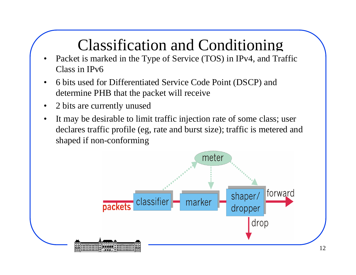### Classification and Conditioning

- Packet is marked in the Type of Service (TOS) in IPv4, and Traffic •Class in IPv6
- • 6 bits used for Differentiated Service Code Point (DSCP) and determine PHB that the packet will receive
- $\bullet$ 2 bits are currently unused
- • It may be desirable to limit traffic injection rate of some class; user declares traffic profile (eg, rate and burst size); traffic is metered and shaped if non-conforming

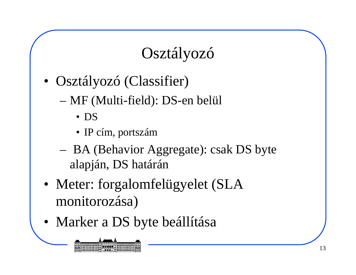## Osztályozó

- Osztályozó (Classifier)
	- MF (Multi-field): DS-en belül
		- DS
		- IP cím, portszám
	- BA (Behavior Aggregate): csak DS byte alapján, DS határán
- Meter: forgalomfelügyelet (SLA monitorozása)
- Marker a DS byte beállítása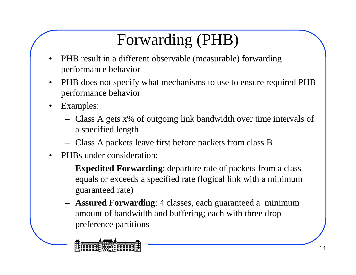# Forwarding (PHB)

- • PHB result in a different observable (measurable) forwarding performance behavior
- • PHB does not specify what mechanisms to use to ensure required PHB performance behavior
- • Examples:
	- Class A gets x% of outgoing link bandwidth over time intervals of a specified length
	- Class A packets leave first before packets from class B
- • PHBs under consideration:
	- **Expedited Forwarding**: departure rate of packets from a class equals or exceeds a specified rate (logical link with a minimum guaranteed rate)
	- **Assured Forwarding**: 4 classes, each guaranteed a minimum amount of bandwidth and buffering; each with three drop preference partitions

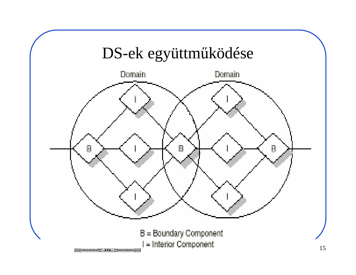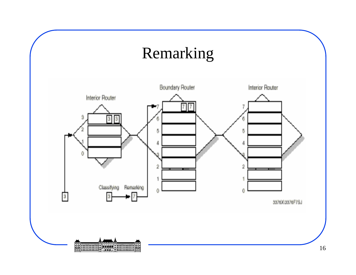